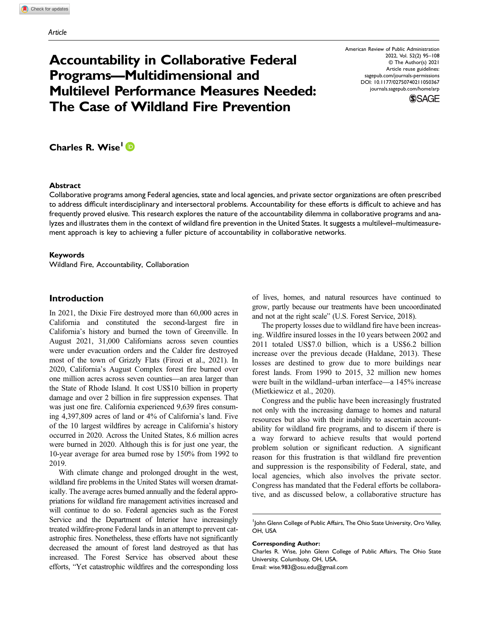# Accountability in Collaborative Federal Programs—Multidimensional and Multilevel Performance Measures Needed: The Case of Wildland Fire Prevention

American Review of Public Administration 2022, Vol. 52(2) 95–108 © The Author(s) 2021 Article reuse guidelines: [sagepub.com/journals-permissions](https://us.sagepub.com/en-us/journals-permissions) DOI: 10.1177/02750740211050367 [journals.sagepub.com/home/arp](https://journals.sagepub.com/home/arp)



# Charles R. Wise<sup>1</sup>

## Abstract

Collaborative programs among Federal agencies, state and local agencies, and private sector organizations are often prescribed to address difficult interdisciplinary and intersectoral problems. Accountability for these efforts is difficult to achieve and has frequently proved elusive. This research explores the nature of the accountability dilemma in collaborative programs and analyzes and illustrates them in the context of wildland fire prevention in the United States. It suggests a multilevel–multimeasurement approach is key to achieving a fuller picture of accountability in collaborative networks.

## Keywords

Wildland Fire, Accountability, Collaboration

# Introduction

In 2021, the Dixie Fire destroyed more than 60,000 acres in California and constituted the second-largest fire in California's history and burned the town of Greenville. In August 2021, 31,000 Californians across seven counties were under evacuation orders and the Calder fire destroyed most of the town of Grizzly Flats (Firozi et al., 2021). In 2020, California's August Complex forest fire burned over one million acres across seven counties—an area larger than the State of Rhode Island. It cost US\$10 billion in property damage and over 2 billion in fire suppression expenses. That was just one fire. California experienced 9,639 fires consuming 4,397,809 acres of land or 4% of California's land. Five of the 10 largest wildfires by acreage in California's history occurred in 2020. Across the United States, 8.6 million acres were burned in 2020. Although this is for just one year, the 10-year average for area burned rose by 150% from 1992 to 2019.

With climate change and prolonged drought in the west, wildland fire problems in the United States will worsen dramatically. The average acres burned annually and the federal appropriations for wildland fire management activities increased and will continue to do so. Federal agencies such as the Forest Service and the Department of Interior have increasingly treated wildfire-prone Federal lands in an attempt to prevent catastrophic fires. Nonetheless, these efforts have not significantly decreased the amount of forest land destroyed as that has increased. The Forest Service has observed about these efforts, "Yet catastrophic wildfires and the corresponding loss of lives, homes, and natural resources have continued to grow, partly because our treatments have been uncoordinated and not at the right scale" (U.S. Forest Service, 2018).

The property losses due to wildland fire have been increasing. Wildfire insured losses in the 10 years between 2002 and 2011 totaled US\$7.0 billion, which is a US\$6.2 billion increase over the previous decade (Haldane, 2013). These losses are destined to grow due to more buildings near forest lands. From 1990 to 2015, 32 million new homes were built in the wildland–urban interface—a 145% increase (Mietkiewicz et al., 2020).

Congress and the public have been increasingly frustrated not only with the increasing damage to homes and natural resources but also with their inability to ascertain accountability for wildland fire programs, and to discern if there is a way forward to achieve results that would portend problem solution or significant reduction. A significant reason for this frustration is that wildland fire prevention and suppression is the responsibility of Federal, state, and local agencies, which also involves the private sector. Congress has mandated that the Federal efforts be collaborative, and as discussed below, a collaborative structure has

#### Corresponding Author:

Charles R. Wise, John Glenn College of Public Affairs, The Ohio State University, Columbusy, OH, USA. Email: [wise.983@osu.edu@gmail.com](mailto:wise.983@osu.edu@gmail.com)

<sup>&</sup>lt;sup>1</sup>John Glenn College of Public Affairs, The Ohio State University, Oro Valley, OH, USA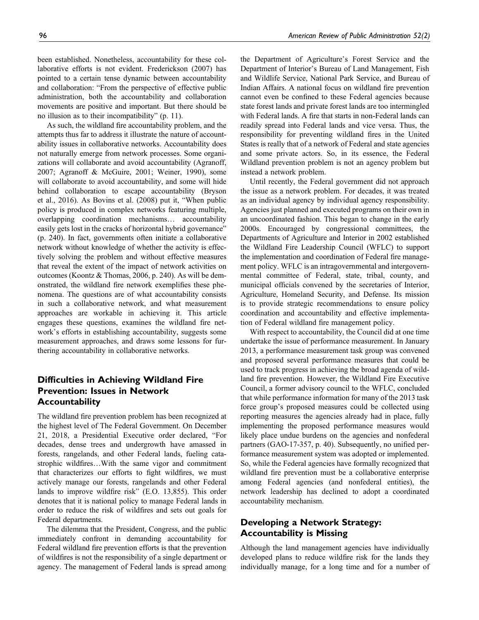been established. Nonetheless, accountability for these collaborative efforts is not evident. Frederickson (2007) has pointed to a certain tense dynamic between accountability and collaboration: "From the perspective of effective public administration, both the accountability and collaboration movements are positive and important. But there should be no illusion as to their incompatibility" (p. 11).

As such, the wildland fire accountability problem, and the attempts thus far to address it illustrate the nature of accountability issues in collaborative networks. Accountability does not naturally emerge from network processes. Some organizations will collaborate and avoid accountability (Agranoff, 2007; Agranoff & McGuire, 2001; Weiner, 1990), some will collaborate to avoid accountability, and some will hide behind collaboration to escape accountability (Bryson et al., 2016). As Bovins et al. (2008) put it, "When public policy is produced in complex networks featuring multiple, overlapping coordination mechanisms… accountability easily gets lost in the cracks of horizontal hybrid governance" (p. 240). In fact, governments often initiate a collaborative network without knowledge of whether the activity is effectively solving the problem and without effective measures that reveal the extent of the impact of network activities on outcomes (Koontz & Thomas, 2006, p. 240). As will be demonstrated, the wildland fire network exemplifies these phenomena. The questions are of what accountability consists in such a collaborative network, and what measurement approaches are workable in achieving it. This article engages these questions, examines the wildland fire network's efforts in establishing accountability, suggests some measurement approaches, and draws some lessons for furthering accountability in collaborative networks.

# Difficulties in Achieving Wildland Fire Prevention: Issues in Network Accountability

The wildland fire prevention problem has been recognized at the highest level of The Federal Government. On December 21, 2018, a Presidential Executive order declared, "For decades, dense trees and undergrowth have amassed in forests, rangelands, and other Federal lands, fueling catastrophic wildfires…With the same vigor and commitment that characterizes our efforts to fight wildfires, we must actively manage our forests, rangelands and other Federal lands to improve wildfire risk" (E.O. 13,855). This order denotes that it is national policy to manage Federal lands in order to reduce the risk of wildfires and sets out goals for Federal departments.

The dilemma that the President, Congress, and the public immediately confront in demanding accountability for Federal wildland fire prevention efforts is that the prevention of wildfires is not the responsibility of a single department or agency. The management of Federal lands is spread among

the Department of Agriculture's Forest Service and the Department of Interior's Bureau of Land Management, Fish and Wildlife Service, National Park Service, and Bureau of Indian Affairs. A national focus on wildland fire prevention cannot even be confined to these Federal agencies because state forest lands and private forest lands are too intermingled with Federal lands. A fire that starts in non-Federal lands can readily spread into Federal lands and vice versa. Thus, the responsibility for preventing wildland fires in the United States is really that of a network of Federal and state agencies and some private actors. So, in its essence, the Federal Wildland prevention problem is not an agency problem but instead a network problem.

Until recently, the Federal government did not approach the issue as a network problem. For decades, it was treated as an individual agency by individual agency responsibility. Agencies just planned and executed programs on their own in an uncoordinated fashion. This began to change in the early 2000s. Encouraged by congressional committees, the Departments of Agriculture and Interior in 2002 established the Wildland Fire Leadership Council (WFLC) to support the implementation and coordination of Federal fire management policy. WFLC is an intragovernmental and intergovernmental committee of Federal, state, tribal, county, and municipal officials convened by the secretaries of Interior, Agriculture, Homeland Security, and Defense. Its mission is to provide strategic recommendations to ensure policy coordination and accountability and effective implementation of Federal wildland fire management policy.

With respect to accountability, the Council did at one time undertake the issue of performance measurement. In January 2013, a performance measurement task group was convened and proposed several performance measures that could be used to track progress in achieving the broad agenda of wildland fire prevention. However, the Wildland Fire Executive Council, a former advisory council to the WFLC, concluded that while performance information for many of the 2013 task force group's proposed measures could be collected using reporting measures the agencies already had in place, fully implementing the proposed performance measures would likely place undue burdens on the agencies and nonfederal partners (GAO-17-357, p. 40). Subsequently, no unified performance measurement system was adopted or implemented. So, while the Federal agencies have formally recognized that wildland fire prevention must be a collaborative enterprise among Federal agencies (and nonfederal entities), the network leadership has declined to adopt a coordinated accountability mechanism.

# Developing a Network Strategy: Accountability is Missing

Although the land management agencies have individually developed plans to reduce wildfire risk for the lands they individually manage, for a long time and for a number of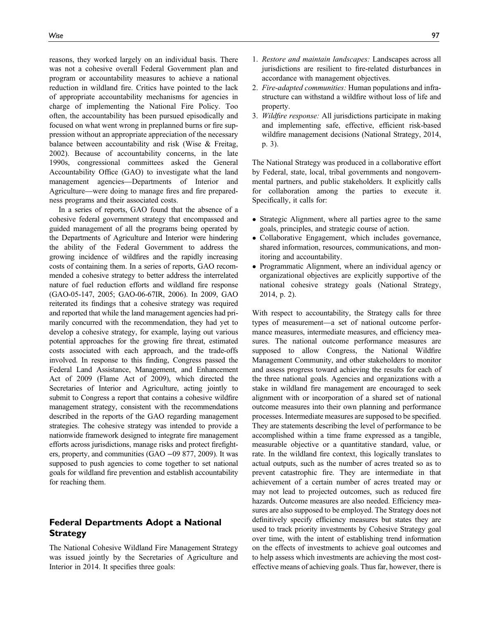reasons, they worked largely on an individual basis. There was not a cohesive overall Federal Government plan and program or accountability measures to achieve a national reduction in wildland fire. Critics have pointed to the lack of appropriate accountability mechanisms for agencies in charge of implementing the National Fire Policy. Too often, the accountability has been pursued episodically and focused on what went wrong in preplanned burns or fire suppression without an appropriate appreciation of the necessary balance between accountability and risk (Wise & Freitag, 2002). Because of accountability concerns, in the late 1990s, congressional committees asked the General Accountability Office (GAO) to investigate what the land management agencies—Departments of Interior and Agriculture—were doing to manage fires and fire preparedness programs and their associated costs.

In a series of reports, GAO found that the absence of a cohesive federal government strategy that encompassed and guided management of all the programs being operated by the Departments of Agriculture and Interior were hindering the ability of the Federal Government to address the growing incidence of wildfires and the rapidly increasing costs of containing them. In a series of reports, GAO recommended a cohesive strategy to better address the interrelated nature of fuel reduction efforts and wildland fire response (GAO-05-147, 2005; GAO-06-67IR, 2006). In 2009, GAO reiterated its findings that a cohesive strategy was required and reported that while the land management agencies had primarily concurred with the recommendation, they had yet to develop a cohesive strategy, for example, laying out various potential approaches for the growing fire threat, estimated costs associated with each approach, and the trade-offs involved. In response to this finding, Congress passed the Federal Land Assistance, Management, and Enhancement Act of 2009 (Flame Act of 2009), which directed the Secretaries of Interior and Agriculture, acting jointly to submit to Congress a report that contains a cohesive wildfire management strategy, consistent with the recommendations described in the reports of the GAO regarding management strategies. The cohesive strategy was intended to provide a nationwide framework designed to integrate fire management efforts across jurisdictions, manage risks and protect firefighters, property, and communities (GAO −09 877, 2009). It was supposed to push agencies to come together to set national goals for wildland fire prevention and establish accountability for reaching them.

# Federal Departments Adopt a National Strategy

The National Cohesive Wildland Fire Management Strategy was issued jointly by the Secretaries of Agriculture and Interior in 2014. It specifies three goals:

- 1. Restore and maintain landscapes: Landscapes across all jurisdictions are resilient to fire-related disturbances in accordance with management objectives.
- 2. Fire-adapted communities: Human populations and infrastructure can withstand a wildfire without loss of life and property.
- 3. Wildfire response: All jurisdictions participate in making and implementing safe, effective, efficient risk-based wildfire management decisions (National Strategy, 2014, p. 3).

The National Strategy was produced in a collaborative effort by Federal, state, local, tribal governments and nongovernmental partners, and public stakeholders. It explicitly calls for collaboration among the parties to execute it. Specifically, it calls for:

- Strategic Alignment, where all parties agree to the same goals, principles, and strategic course of action.
- Collaborative Engagement, which includes governance, shared information, resources, communications, and monitoring and accountability.
- Programmatic Alignment, where an individual agency or organizational objectives are explicitly supportive of the national cohesive strategy goals (National Strategy, 2014, p. 2).

With respect to accountability, the Strategy calls for three types of measurement—a set of national outcome performance measures, intermediate measures, and efficiency measures. The national outcome performance measures are supposed to allow Congress, the National Wildfire Management Community, and other stakeholders to monitor and assess progress toward achieving the results for each of the three national goals. Agencies and organizations with a stake in wildland fire management are encouraged to seek alignment with or incorporation of a shared set of national outcome measures into their own planning and performance processes. Intermediate measures are supposed to be specified. They are statements describing the level of performance to be accomplished within a time frame expressed as a tangible, measurable objective or a quantitative standard, value, or rate. In the wildland fire context, this logically translates to actual outputs, such as the number of acres treated so as to prevent catastrophic fire. They are intermediate in that achievement of a certain number of acres treated may or may not lead to projected outcomes, such as reduced fire hazards. Outcome measures are also needed. Efficiency measures are also supposed to be employed. The Strategy does not definitively specify efficiency measures but states they are used to track priority investments by Cohesive Strategy goal over time, with the intent of establishing trend information on the effects of investments to achieve goal outcomes and to help assess which investments are achieving the most costeffective means of achieving goals. Thus far, however, there is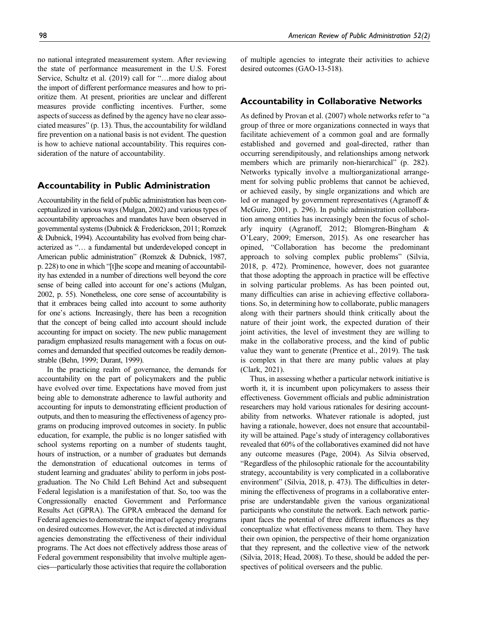no national integrated measurement system. After reviewing the state of performance measurement in the U.S. Forest Service, Schultz et al. (2019) call for "…more dialog about the import of different performance measures and how to prioritize them. At present, priorities are unclear and different measures provide conflicting incentives. Further, some aspects of success as defined by the agency have no clear associated measures" (p. 13). Thus, the accountability for wildland fire prevention on a national basis is not evident. The question is how to achieve national accountability. This requires consideration of the nature of accountability.

# Accountability in Public Administration

Accountability in the field of public administration has been conceptualized in various ways (Mulgan, 2002) and various types of accountability approaches and mandates have been observed in governmental systems (Dubnick & Frederickson, 2011; Romzek & Dubnick, 1994). Accountability has evolved from being characterized as "… a fundamental but underdeveloped concept in American public administration" (Romzek & Dubnick, 1987, p. 228) to one in which "[t]he scope and meaning of accountability has extended in a number of directions well beyond the core sense of being called into account for one's actions (Mulgan, 2002, p. 55). Nonetheless, one core sense of accountability is that it embraces being called into account to some authority for one's actions. Increasingly, there has been a recognition that the concept of being called into account should include accounting for impact on society. The new public management paradigm emphasized results management with a focus on outcomes and demanded that specified outcomes be readily demonstrable (Behn, 1999; Durant, 1999).

In the practicing realm of governance, the demands for accountability on the part of policymakers and the public have evolved over time. Expectations have moved from just being able to demonstrate adherence to lawful authority and accounting for inputs to demonstrating efficient production of outputs, and then to measuring the effectiveness of agency programs on producing improved outcomes in society. In public education, for example, the public is no longer satisfied with school systems reporting on a number of students taught, hours of instruction, or a number of graduates but demands the demonstration of educational outcomes in terms of student learning and graduates' ability to perform in jobs postgraduation. The No Child Left Behind Act and subsequent Federal legislation is a manifestation of that. So, too was the Congressionally enacted Government and Performance Results Act (GPRA). The GPRA embraced the demand for Federal agencies to demonstrate the impact of agency programs on desired outcomes. However, the Act is directed at individual agencies demonstrating the effectiveness of their individual programs. The Act does not effectively address those areas of Federal government responsibility that involve multiple agencies—particularly those activities that require the collaboration

of multiple agencies to integrate their activities to achieve desired outcomes (GAO-13-518).

## Accountability in Collaborative Networks

As defined by Provan et al. (2007) whole networks refer to "a group of three or more organizations connected in ways that facilitate achievement of a common goal and are formally established and governed and goal-directed, rather than occurring serendipitously, and relationships among network members which are primarily non-hierarchical" (p. 282). Networks typically involve a multiorganizational arrangement for solving public problems that cannot be achieved, or achieved easily, by single organizations and which are led or managed by government representatives (Agranoff & McGuire, 2001, p. 296). In public administration collaboration among entities has increasingly been the focus of scholarly inquiry (Agranoff, 2012; Blomgren-Bingham & O'Leary, 2009; Emerson, 2015). As one researcher has opined, "Collaboration has become the predominant approach to solving complex public problems" (Silvia, 2018, p. 472). Prominence, however, does not guarantee that those adopting the approach in practice will be effective in solving particular problems. As has been pointed out, many difficulties can arise in achieving effective collaborations. So, in determining how to collaborate, public managers along with their partners should think critically about the nature of their joint work, the expected duration of their joint activities, the level of investment they are willing to make in the collaborative process, and the kind of public value they want to generate (Prentice et al., 2019). The task is complex in that there are many public values at play (Clark, 2021).

Thus, in assessing whether a particular network initiative is worth it, it is incumbent upon policymakers to assess their effectiveness. Government officials and public administration researchers may hold various rationales for desiring accountability from networks. Whatever rationale is adopted, just having a rationale, however, does not ensure that accountability will be attained. Page's study of interagency collaboratives revealed that 60% of the collaboratives examined did not have any outcome measures (Page, 2004). As Silvia observed, "Regardless of the philosophic rationale for the accountability strategy, accountability is very complicated in a collaborative environment" (Silvia, 2018, p. 473). The difficulties in determining the effectiveness of programs in a collaborative enterprise are understandable given the various organizational participants who constitute the network. Each network participant faces the potential of three different influences as they conceptualize what effectiveness means to them. They have their own opinion, the perspective of their home organization that they represent, and the collective view of the network (Silvia, 2018; Head, 2008). To these, should be added the perspectives of political overseers and the public.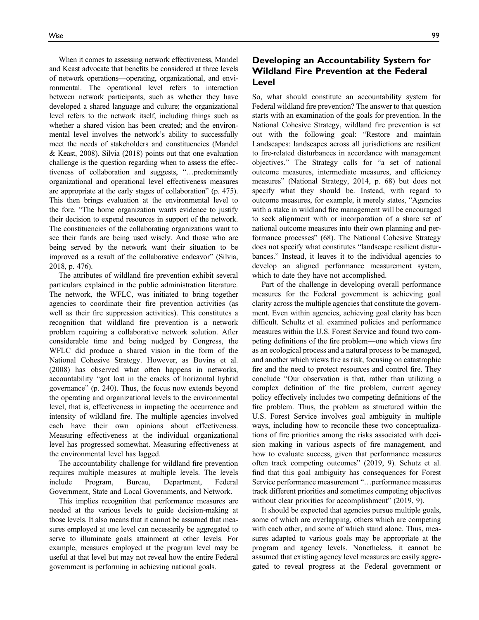When it comes to assessing network effectiveness, Mandel and Keast advocate that benefits be considered at three levels of network operations—operating, organizational, and environmental. The operational level refers to interaction between network participants, such as whether they have developed a shared language and culture; the organizational level refers to the network itself, including things such as whether a shared vision has been created; and the environmental level involves the network's ability to successfully meet the needs of stakeholders and constituencies (Mandel & Keast, 2008). Silvia (2018) points out that one evaluation challenge is the question regarding when to assess the effectiveness of collaboration and suggests, "…predominantly organizational and operational level effectiveness measures are appropriate at the early stages of collaboration" (p. 475). This then brings evaluation at the environmental level to the fore. "The home organization wants evidence to justify their decision to expend resources in support of the network. The constituencies of the collaborating organizations want to see their funds are being used wisely. And those who are being served by the network want their situation to be improved as a result of the collaborative endeavor" (Silvia, 2018, p. 476).

The attributes of wildland fire prevention exhibit several particulars explained in the public administration literature. The network, the WFLC, was initiated to bring together agencies to coordinate their fire prevention activities (as well as their fire suppression activities). This constitutes a recognition that wildland fire prevention is a network problem requiring a collaborative network solution. After considerable time and being nudged by Congress, the WFLC did produce a shared vision in the form of the National Cohesive Strategy. However, as Bovins et al. (2008) has observed what often happens in networks, accountability "got lost in the cracks of horizontal hybrid governance" (p. 240). Thus, the focus now extends beyond the operating and organizational levels to the environmental level, that is, effectiveness in impacting the occurrence and intensity of wildland fire. The multiple agencies involved each have their own opinions about effectiveness. Measuring effectiveness at the individual organizational level has progressed somewhat. Measuring effectiveness at the environmental level has lagged.

The accountability challenge for wildland fire prevention requires multiple measures at multiple levels. The levels include Program, Bureau, Department, Federal Government, State and Local Governments, and Network.

This implies recognition that performance measures are needed at the various levels to guide decision-making at those levels. It also means that it cannot be assumed that measures employed at one level can necessarily be aggregated to serve to illuminate goals attainment at other levels. For example, measures employed at the program level may be useful at that level but may not reveal how the entire Federal government is performing in achieving national goals.

# Developing an Accountability System for Wildland Fire Prevention at the Federal Level

So, what should constitute an accountability system for Federal wildland fire prevention? The answer to that question starts with an examination of the goals for prevention. In the National Cohesive Strategy, wildland fire prevention is set out with the following goal: "Restore and maintain Landscapes: landscapes across all jurisdictions are resilient to fire-related disturbances in accordance with management objectives." The Strategy calls for "a set of national outcome measures, intermediate measures, and efficiency measures" (National Strategy, 2014, p. 68) but does not specify what they should be. Instead, with regard to outcome measures, for example, it merely states, "Agencies with a stake in wildland fire management will be encouraged to seek alignment with or incorporation of a share set of national outcome measures into their own planning and performance processes" (68). The National Cohesive Strategy does not specify what constitutes "landscape resilient disturbances." Instead, it leaves it to the individual agencies to develop an aligned performance measurement system, which to date they have not accomplished.

Part of the challenge in developing overall performance measures for the Federal government is achieving goal clarity across the multiple agencies that constitute the government. Even within agencies, achieving goal clarity has been difficult. Schultz et al. examined policies and performance measures within the U.S. Forest Service and found two competing definitions of the fire problem—one which views fire as an ecological process and a natural process to be managed, and another which views fire as risk, focusing on catastrophic fire and the need to protect resources and control fire. They conclude "Our observation is that, rather than utilizing a complex definition of the fire problem, current agency policy effectively includes two competing definitions of the fire problem. Thus, the problem as structured within the U.S. Forest Service involves goal ambiguity in multiple ways, including how to reconcile these two conceptualizations of fire priorities among the risks associated with decision making in various aspects of fire management, and how to evaluate success, given that performance measures often track competing outcomes" (2019, 9). Schutz et al. find that this goal ambiguity has consequences for Forest Service performance measurement "…performance measures track different priorities and sometimes competing objectives without clear priorities for accomplishment" (2019, 9).

It should be expected that agencies pursue multiple goals, some of which are overlapping, others which are competing with each other, and some of which stand alone. Thus, measures adapted to various goals may be appropriate at the program and agency levels. Nonetheless, it cannot be assumed that existing agency level measures are easily aggregated to reveal progress at the Federal government or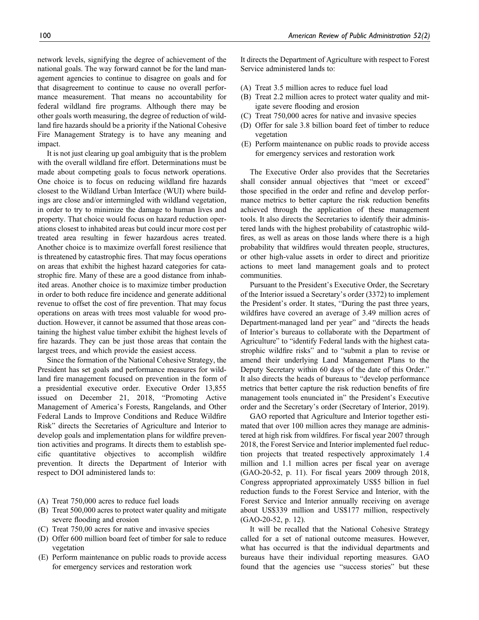network levels, signifying the degree of achievement of the national goals. The way forward cannot be for the land management agencies to continue to disagree on goals and for that disagreement to continue to cause no overall performance measurement. That means no accountability for federal wildland fire programs. Although there may be other goals worth measuring, the degree of reduction of wildland fire hazards should be a priority if the National Cohesive Fire Management Strategy is to have any meaning and impact.

It is not just clearing up goal ambiguity that is the problem with the overall wildland fire effort. Determinations must be made about competing goals to focus network operations. One choice is to focus on reducing wildland fire hazards closest to the Wildland Urban Interface (WUI) where buildings are close and/or intermingled with wildland vegetation, in order to try to minimize the damage to human lives and property. That choice would focus on hazard reduction operations closest to inhabited areas but could incur more cost per treated area resulting in fewer hazardous acres treated. Another choice is to maximize overfall forest resilience that is threatened by catastrophic fires. That may focus operations on areas that exhibit the highest hazard categories for catastrophic fire. Many of these are a good distance from inhabited areas. Another choice is to maximize timber production in order to both reduce fire incidence and generate additional revenue to offset the cost of fire prevention. That may focus operations on areas with trees most valuable for wood production. However, it cannot be assumed that those areas containing the highest value timber exhibit the highest levels of fire hazards. They can be just those areas that contain the largest trees, and which provide the easiest access.

Since the formation of the National Cohesive Strategy, the President has set goals and performance measures for wildland fire management focused on prevention in the form of a presidential executive order. Executive Order 13,855 issued on December 21, 2018, "Promoting Active Management of America's Forests, Rangelands, and Other Federal Lands to Improve Conditions and Reduce Wildfire Risk" directs the Secretaries of Agriculture and Interior to develop goals and implementation plans for wildfire prevention activities and programs. It directs them to establish specific quantitative objectives to accomplish wildfire prevention. It directs the Department of Interior with respect to DOI administered lands to:

- (A) Treat 750,000 acres to reduce fuel loads
- (B) Treat 500,000 acres to protect water quality and mitigate severe flooding and erosion
- (C) Treat 750,00 acres for native and invasive species
- (D) Offer 600 million board feet of timber for sale to reduce vegetation
- (E) Perform maintenance on public roads to provide access for emergency services and restoration work

It directs the Department of Agriculture with respect to Forest Service administered lands to:

- (A) Treat 3.5 million acres to reduce fuel load
- (B) Treat 2.2 million acres to protect water quality and mitigate severe flooding and erosion
- (C) Treat 750,000 acres for native and invasive species
- (D) Offer for sale 3.8 billion board feet of timber to reduce vegetation
- (E) Perform maintenance on public roads to provide access for emergency services and restoration work

The Executive Order also provides that the Secretaries shall consider annual objectives that "meet or exceed" those specified in the order and refine and develop performance metrics to better capture the risk reduction benefits achieved through the application of these management tools. It also directs the Secretaries to identify their administered lands with the highest probability of catastrophic wildfires, as well as areas on those lands where there is a high probability that wildfires would threaten people, structures, or other high-value assets in order to direct and prioritize actions to meet land management goals and to protect communities.

Pursuant to the President's Executive Order, the Secretary of the Interior issued a Secretary's order (3372) to implement the President's order. It states, "During the past three years, wildfires have covered an average of 3.49 million acres of Department-managed land per year" and "directs the heads of Interior's bureaus to collaborate with the Department of Agriculture" to "identify Federal lands with the highest catastrophic wildfire risks" and to "submit a plan to revise or amend their underlying Land Management Plans to the Deputy Secretary within 60 days of the date of this Order." It also directs the heads of bureaus to "develop performance metrics that better capture the risk reduction benefits of fire management tools enunciated in" the President's Executive order and the Secretary's order (Secretary of Interior, 2019).

GAO reported that Agriculture and Interior together estimated that over 100 million acres they manage are administered at high risk from wildfires. For fiscal year 2007 through 2018, the Forest Service and Interior implemented fuel reduction projects that treated respectively approximately 1.4 million and 1.1 million acres per fiscal year on average (GAO-20-52, p. 11). For fiscal years 2009 through 2018, Congress appropriated approximately US\$5 billion in fuel reduction funds to the Forest Service and Interior, with the Forest Service and Interior annually receiving on average about US\$339 million and US\$177 million, respectively (GAO-20-52, p. 12).

It will be recalled that the National Cohesive Strategy called for a set of national outcome measures. However, what has occurred is that the individual departments and bureaus have their individual reporting measures. GAO found that the agencies use "success stories" but these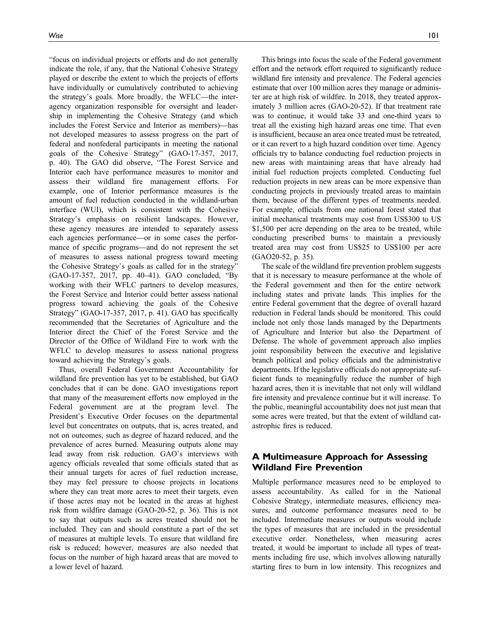"focus on individual projects or efforts and do not generally indicate the role, if any, that the National Cohesive Strategy played or describe the extent to which the projects of efforts have individually or cumulatively contributed to achieving the strategy's goals. More broadly, the WFLC—the interagency organization responsible for oversight and leadership in implementing the Cohesive Strategy (and which includes the Forest Service and Interior as members)—has not developed measures to assess progress on the part of federal and nonfederal participants in meeting the national goals of the Cohesive Strategy" (GAO-17-357, 2017, p. 40). The GAO did observe, "The Forest Service and Interior each have performance measures to monitor and assess their wildland fire management efforts. For example, one of Interior performance measures is the amount of fuel reduction conducted in the wildland-urban interface (WUI), which is consistent with the Cohesive Strategy's emphasis on resilient landscapes. However, these agency measures are intended to separately assess each agencies performance—or in some cases the performance of specific programs—and do not represent the set of measures to assess national progress toward meeting the Cohesive Strategy's goals as called for in the strategy" (GAO-17-357, 2017, pp. 40–41). GAO concluded, "By working with their WFLC partners to develop measures, the Forest Service and Interior could better assess national progress toward achieving the goals of the Cohesive Strategy" (GAO-17-357, 2017, p. 41). GAO has specifically recommended that the Secretaries of Agriculture and the Interior direct the Chief of the Forest Service and the Director of the Office of Wildland Fire to work with the WFLC to develop measures to assess national progress toward achieving the Strategy's goals.

Thus, overall Federal Government Accountability for wildland fire prevention has yet to be established, but GAO concludes that it can be done. GAO investigations report that many of the measurement efforts now employed in the Federal government are at the program level. The President's Executive Order focuses on the departmental level but concentrates on outputs, that is, acres treated, and not on outcomes, such as degree of hazard reduced, and the prevalence of acres burned. Measuring outputs alone may lead away from risk reduction. GAO's interviews with agency officials revealed that some officials stated that as their annual targets for acres of fuel reduction increase, they may feel pressure to choose projects in locations where they can treat more acres to meet their targets, even if those acres may not be located in the areas at highest risk from wildfire damage (GAO-20-52, p. 36). This is not to say that outputs such as acres treated should not be included. They can and should constitute a part of the set of measures at multiple levels. To ensure that wildland fire risk is reduced; however, measures are also needed that focus on the number of high hazard areas that are moved to a lower level of hazard.

This brings into focus the scale of the Federal government effort and the network effort required to significantly reduce wildland fire intensity and prevalence. The Federal agencies estimate that over 100 million acres they manage or administer are at high risk of wildfire. In 2018, they treated approximately 3 million acres (GAO-20-52). If that treatment rate was to continue, it would take 33 and one-third years to treat all the existing high hazard areas one time. That even is insufficient, because an area once treated must be retreated, or it can revert to a high hazard condition over time. Agency officials try to balance conducting fuel reduction projects in new areas with maintaining areas that have already had initial fuel reduction projects completed. Conducting fuel reduction projects in new areas can be more expensive than conducting projects in previously treated areas to maintain them, because of the different types of treatments needed. For example, officials from one national forest stated that initial mechanical treatments may cost from US\$300 to US \$1,500 per acre depending on the area to be treated, while conducting prescribed burns to maintain a previously treated area may cost from US\$25 to US\$100 per acre (GAO20-52, p. 35).

The scale of the wildland fire prevention problem suggests that it is necessary to measure performance at the whole of the Federal government and then for the entire network including states and private lands. This implies for the entire Federal government that the degree of overall hazard reduction in Federal lands should be monitored. This could include not only those lands managed by the Departments of Agriculture and Interior but also the Department of Defense. The whole of government approach also implies joint responsibility between the executive and legislative branch political and policy officials and the administrative departments. If the legislative officials do not appropriate sufficient funds to meaningfully reduce the number of high hazard acres, then it is inevitable that not only will wildland fire intensity and prevalence continue but it will increase. To the public, meaningful accountability does not just mean that some acres were treated, but that the extent of wildland catastrophic fires is reduced.

# A Multimeasure Approach for Assessing Wildland Fire Prevention

Multiple performance measures need to be employed to assess accountability. As called for in the National Cohesive Strategy, intermediate measures, efficiency measures, and outcome performance measures need to be included. Intermediate measures or outputs would include the types of measures that are included in the presidential executive order. Nonetheless, when measuring acres treated, it would be important to include all types of treatments including fire use, which involves allowing naturally starting fires to burn in low intensity. This recognizes and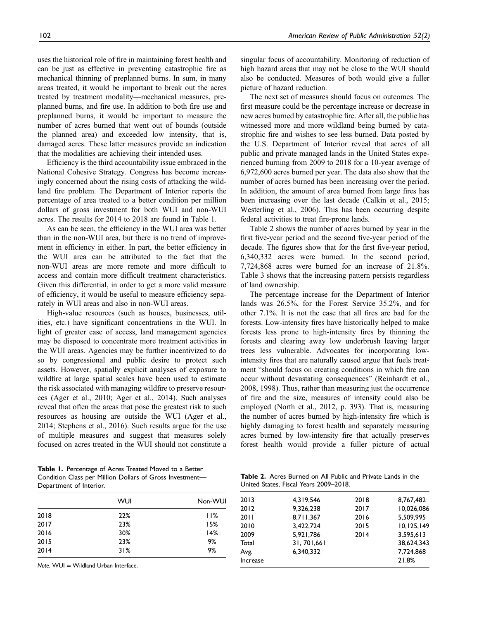uses the historical role of fire in maintaining forest health and can be just as effective in preventing catastrophic fire as mechanical thinning of preplanned burns. In sum, in many areas treated, it would be important to break out the acres treated by treatment modality—mechanical measures, preplanned burns, and fire use. In addition to both fire use and preplanned burns, it would be important to measure the number of acres burned that went out of bounds (outside the planned area) and exceeded low intensity, that is, damaged acres. These latter measures provide an indication that the modalities are achieving their intended uses.

Efficiency is the third accountability issue embraced in the National Cohesive Strategy. Congress has become increasingly concerned about the rising costs of attacking the wildland fire problem. The Department of Interior reports the percentage of area treated to a better condition per million dollars of gross investment for both WUI and non-WUI acres. The results for 2014 to 2018 are found in Table 1.

As can be seen, the efficiency in the WUI area was better than in the non-WUI area, but there is no trend of improvement in efficiency in either. In part, the better efficiency in the WUI area can be attributed to the fact that the non-WUI areas are more remote and more difficult to access and contain more difficult treatment characteristics. Given this differential, in order to get a more valid measure of efficiency, it would be useful to measure efficiency separately in WUI areas and also in non-WUI areas.

High-value resources (such as houses, businesses, utilities, etc.) have significant concentrations in the WUI. In light of greater ease of access, land management agencies may be disposed to concentrate more treatment activities in the WUI areas. Agencies may be further incentivized to do so by congressional and public desire to protect such assets. However, spatially explicit analyses of exposure to wildfire at large spatial scales have been used to estimate the risk associated with managing wildfire to preserve resources (Ager et al., 2010; Ager et al., 2014). Such analyses reveal that often the areas that pose the greatest risk to such resources as housing are outside the WUI (Ager et al., 2014; Stephens et al., 2016). Such results argue for the use of multiple measures and suggest that measures solely focused on acres treated in the WUI should not constitute a

Table 1. Percentage of Acres Treated Moved to a Better Condition Class per Million Dollars of Gross Investment— Department of Interior.

|      | <b>WUI</b> | Non-WUI |
|------|------------|---------|
| 2018 | 22%        | 11%     |
| 2017 | 23%        | 15%     |
| 2016 | 30%        | 14%     |
| 2015 | 23%        | 9%      |
| 2014 | 31%        | 9%      |

Note. WUI = Wildland Urban Interface.

singular focus of accountability. Monitoring of reduction of high hazard areas that may not be close to the WUI should also be conducted. Measures of both would give a fuller picture of hazard reduction.

The next set of measures should focus on outcomes. The first measure could be the percentage increase or decrease in new acres burned by catastrophic fire. After all, the public has witnessed more and more wildland being burned by catastrophic fire and wishes to see less burned. Data posted by the U.S. Department of Interior reveal that acres of all public and private managed lands in the United States experienced burning from 2009 to 2018 for a 10-year average of 6,972,600 acres burned per year. The data also show that the number of acres burned has been increasing over the period. In addition, the amount of area burned from large fires has been increasing over the last decade (Calkin et al., 2015; Westerling et al., 2006). This has been occurring despite federal activities to treat fire-prone lands.

Table 2 shows the number of acres burned by year in the first five-year period and the second five-year period of the decade. The figures show that for the first five-year period, 6,340,332 acres were burned. In the second period, 7,724,868 acres were burned for an increase of 21.8%. Table 3 shows that the increasing pattern persists regardless of land ownership.

The percentage increase for the Department of Interior lands was 26.5%, for the Forest Service 35.2%, and for other 7.1%. It is not the case that all fires are bad for the forests. Low-intensity fires have historically helped to make forests less prone to high-intensity fires by thinning the forests and clearing away low underbrush leaving larger trees less vulnerable. Advocates for incorporating lowintensity fires that are naturally caused argue that fuels treatment "should focus on creating conditions in which fire can occur without devastating consequences" (Reinhardt et al., 2008, 1998). Thus, rather than measuring just the occurrence of fire and the size, measures of intensity could also be employed (North et al., 2012, p. 393). That is, measuring the number of acres burned by high-intensity fire which is highly damaging to forest health and separately measuring acres burned by low-intensity fire that actually preserves forest health would provide a fuller picture of actual

Table 2. Acres Burned on All Public and Private Lands in the United States, Fiscal Years 2009–2018.

| 2013     | 4.319.546  | 2018 | 8.767.482  |
|----------|------------|------|------------|
| 2012     | 9.326.238  | 2017 | 10,026,086 |
| 2011     | 8.711.367  | 2016 | 5.509.995  |
| 2010     | 3.422.724  | 2015 | 10.125.149 |
| 2009     | 5,921,786  | 2014 | 3.595.613  |
| Total    | 31,701,661 |      | 38,624,343 |
| Avg.     | 6.340.332  |      | 7.724.868  |
| Increase |            |      | 21.8%      |
|          |            |      |            |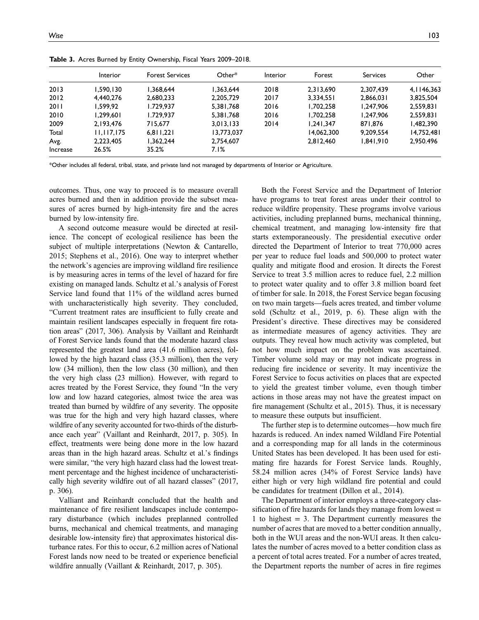|          | <b>Interior</b> | <b>Forest Services</b> | $Other*$   | Interior | Forest     | <b>Services</b> | Other        |
|----------|-----------------|------------------------|------------|----------|------------|-----------------|--------------|
| 2013     | .590.130        | 1.368.644              | 1.363.644  | 2018     | 2.313.690  | 2.307.439       | 4, 1146, 363 |
| 2012     | 4.440.276       | 2.680.233              | 2.205.729  | 2017     | 3,334,551  | 2.866.031       | 3.825.504    |
| 2011     | .599.92         | 1.729.937              | 5.381.768  | 2016     | 1.702.258  | 1.247.906       | 2.559.831    |
| 2010     | 1.299.601       | 1.729.937              | 5,381,768  | 2016     | 1.702.258  | 1.247.906       | 2.559.831    |
| 2009     | 2.193.476       | 715,677                | 3,013,133  | 2014     | 1.241.347  | 871.876         | 482,390, ا   |
| Total    | 11,117,175      | 6,811,221              | 13,773,037 |          | 14.062.300 | 9.209.554       | 14.752.481   |
| Avg.     | 2.223.405       | 1.362.244              | 2.754.607  |          | 2.812.460  | 1.841.910       | 2.950.496    |
| Increase | 26.5%           | 35.2%                  | 7.1%       |          |            |                 |              |

Table 3. Acres Burned by Entity Ownership, Fiscal Years 2009–2018.

\*Other includes all federal, tribal, state, and private land not managed by departments of Interior or Agriculture.

outcomes. Thus, one way to proceed is to measure overall acres burned and then in addition provide the subset measures of acres burned by high-intensity fire and the acres burned by low-intensity fire.

A second outcome measure would be directed at resilience. The concept of ecological resilience has been the subject of multiple interpretations (Newton & Cantarello, 2015; Stephens et al., 2016). One way to interpret whether the network's agencies are improving wildland fire resilience is by measuring acres in terms of the level of hazard for fire existing on managed lands. Schultz et al.'s analysis of Forest Service land found that 11% of the wildland acres burned with uncharacteristically high severity. They concluded, "Current treatment rates are insufficient to fully create and maintain resilient landscapes especially in frequent fire rotation areas" (2017, 306). Analysis by Vaillant and Reinhardt of Forest Service lands found that the moderate hazard class represented the greatest land area (41.6 million acres), followed by the high hazard class (35.3 million), then the very low (34 million), then the low class (30 million), and then the very high class (23 million). However, with regard to acres treated by the Forest Service, they found "In the very low and low hazard categories, almost twice the area was treated than burned by wildfire of any severity. The opposite was true for the high and very high hazard classes, where wildfire of any severity accounted for two-thirds of the disturbance each year" (Vaillant and Reinhardt, 2017, p. 305). In effect, treatments were being done more in the low hazard areas than in the high hazard areas. Schultz et al.'s findings were similar, "the very high hazard class had the lowest treatment percentage and the highest incidence of uncharacteristically high severity wildfire out of all hazard classes" (2017, p. 306).

Valliant and Reinhardt concluded that the health and maintenance of fire resilient landscapes include contemporary disturbance (which includes preplanned controlled burns, mechanical and chemical treatments, and managing desirable low-intensity fire) that approximates historical disturbance rates. For this to occur, 6.2 million acres of National Forest lands now need to be treated or experience beneficial wildfire annually (Vaillant & Reinhardt, 2017, p. 305).

Both the Forest Service and the Department of Interior have programs to treat forest areas under their control to reduce wildfire propensity. These programs involve various activities, including preplanned burns, mechanical thinning, chemical treatment, and managing low-intensity fire that starts extemporaneously. The presidential executive order directed the Department of Interior to treat 770,000 acres per year to reduce fuel loads and 500,000 to protect water quality and mitigate flood and erosion. It directs the Forest Service to treat 3.5 million acres to reduce fuel, 2.2 million to protect water quality and to offer 3.8 million board feet of timber for sale. In 2018, the Forest Service began focusing on two main targets—fuels acres treated, and timber volume sold (Schultz et al., 2019, p. 6). These align with the President's directive. These directives may be considered as intermediate measures of agency activities. They are outputs. They reveal how much activity was completed, but not how much impact on the problem was ascertained. Timber volume sold may or may not indicate progress in reducing fire incidence or severity. It may incentivize the Forest Service to focus activities on places that are expected to yield the greatest timber volume, even though timber actions in those areas may not have the greatest impact on fire management (Schultz et al., 2015). Thus, it is necessary to measure these outputs but insufficient.

The further step is to determine outcomes—how much fire hazards is reduced. An index named Wildland Fire Potential and a corresponding map for all lands in the coterminous United States has been developed. It has been used for estimating fire hazards for Forest Service lands. Roughly, 58.24 million acres (34% of Forest Service lands) have either high or very high wildland fire potential and could be candidates for treatment (Dillon et al., 2014).

The Department of interior employs a three-category classification of fire hazards for lands they manage from lowest  $=$ 1 to highest = 3. The Department currently measures the number of acres that are moved to a better condition annually, both in the WUI areas and the non-WUI areas. It then calculates the number of acres moved to a better condition class as a percent of total acres treated. For a number of acres treated, the Department reports the number of acres in fire regimes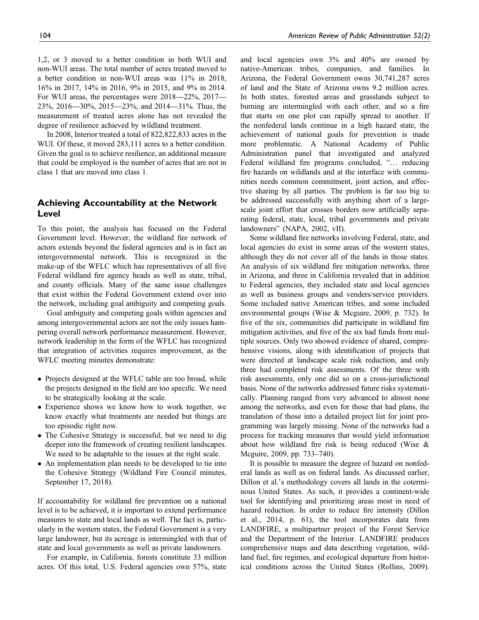1,2, or 3 moved to a better condition in both WUI and non-WUI areas. The total number of acres treated moved to a better condition in non-WUI areas was 11% in 2018, 16% in 2017, 14% in 2016, 9% in 2015, and 9% in 2014. For WUI areas, the percentages were 2018—22%, 2017— 23%, 2016—30%, 2015—23%, and 2014—31%. Thus, the measurement of treated acres alone has not revealed the degree of resilience achieved by wildland treatment.

In 2008, Interior treated a total of 822,822,833 acres in the WUI. Of these, it moved 283,111 acres to a better condition. Given the goal is to achieve resilience, an additional measure that could be employed is the number of acres that are not in class 1 that are moved into class 1.

# Achieving Accountability at the Network Level

To this point, the analysis has focused on the Federal Government level. However, the wildland fire network of actors extends beyond the federal agencies and is in fact an intergovernmental network. This is recognized in the make-up of the WFLC which has representatives of all five Federal wildland fire agency heads as well as state, tribal, and county officials. Many of the same issue challenges that exist within the Federal Government extend over into the network, including goal ambiguity and competing goals.

Goal ambiguity and competing goals within agencies and among intergovernmental actors are not the only issues hampering overall network performance measurement. However, network leadership in the form of the WFLC has recognized that integration of activities requires improvement, as the WFLC meeting minutes demonstrate:

- Projects designed at the WFLC table are too broad, while the projects designed in the field are too specific. We need to be strategically looking at the scale.
- Experience shows we know how to work together, we know exactly what treatments are needed but things are too episodic right now.
- The Cohesive Strategy is successful, but we need to dig deeper into the framework of creating resilient landscapes. We need to be adaptable to the issues at the right scale.
- An implementation plan needs to be developed to tie into the Cohesive Strategy (Wildland Fire Council minutes, September 17, 2018).

If accountability for wildland fire prevention on a national level is to be achieved, it is important to extend performance measures to state and local lands as well. The fact is, particularly in the western states, the Federal Government is a very large landowner, but its acreage is intermingled with that of state and local governments as well as private landowners.

For example, in California, forests constitute 33 million acres. Of this total, U.S. Federal agencies own 57%, state and local agencies own 3% and 40% are owned by native-American tribes, companies, and families. In Arizona, the Federal Government owns 30,741,287 acres of land and the State of Arizona owns 9.2 million acres. In both states, forested areas and grasslands subject to burning are intermingled with each other, and so a fire that starts on one plot can rapidly spread to another. If the nonfederal lands continue in a high hazard state, the achievement of national goals for prevention is made more problematic. A National Academy of Public Administration panel that investigated and analyzed Federal wildland fire programs concluded, "… reducing fire hazards on wildlands and at the interface with communities needs common commitment, joint action, and effective sharing by all parties. The problem is far too big to be addressed successfully with anything short of a largescale joint effort that crosses borders now artificially separating federal, state, local, tribal governments and private landowners" (NAPA, 2002, vII).

Some wildland fire networks involving Federal, state, and local agencies do exist in some areas of the western states, although they do not cover all of the lands in those states. An analysis of six wildland fire mitigation networks, three in Arizona, and three in California revealed that in addition to Federal agencies, they included state and local agencies as well as business groups and venders/service providers. Some included native American tribes, and some included environmental groups (Wise & Mcguire, 2009, p. 732). In five of the six, communities did participate in wildland fire mitigation activities, and five of the six had funds from multiple sources. Only two showed evidence of shared, comprehensive visions, along with identification of projects that were directed at landscape scale risk reduction, and only three had completed risk assessments. Of the three with risk assessments, only one did so on a cross-jurisdictional basis. None of the networks addressed future risks systematically. Planning ranged from very advanced to almost none among the networks, and even for those that had plans, the translation of those into a detailed project list for joint programming was largely missing. None of the networks had a process for tracking measures that would yield information about how wildland fire risk is being reduced (Wise & Mcguire, 2009, pp. 733–740).

It is possible to measure the degree of hazard on nonfederal lands as well as on federal lands. As discussed earlier, Dillon et al.'s methodology covers all lands in the coterminous United States. As such, it provides a continent-wide tool for identifying and prioritizing areas most in need of hazard reduction. In order to reduce fire intensity (Dillon et al., 2014, p. 61), the tool incorporates data from LANDFIRE, a multipartner project of the Forest Service and the Department of the Interior. LANDFIRE produces comprehensive maps and data describing vegetation, wildland fuel, fire regimes, and ecological departure from historical conditions across the United States (Rollins, 2009).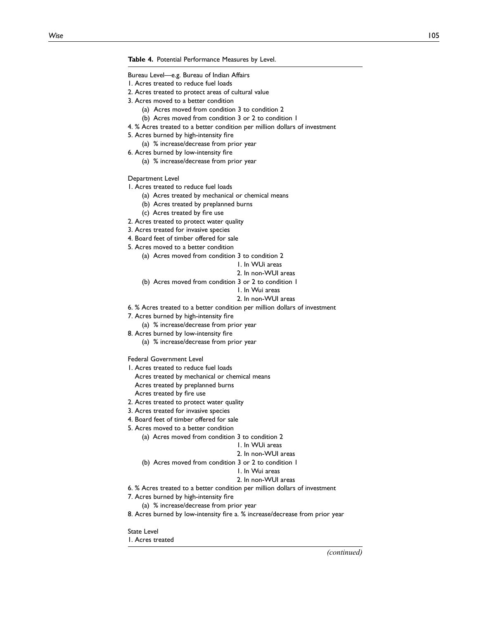## Table 4. Potential Performance Measures by Level.

- Bureau Level—e.g. Bureau of Indian Affairs
- 1. Acres treated to reduce fuel loads
- 2. Acres treated to protect areas of cultural value
- 3. Acres moved to a better condition
	- (a) Acres moved from condition 3 to condition 2
	- (b) Acres moved from condition 3 or 2 to condition 1
- 4. % Acres treated to a better condition per million dollars of investment
- 5. Acres burned by high-intensity fire
	- (a) % increase/decrease from prior year
- 6. Acres burned by low-intensity fire
	- (a) % increase/decrease from prior year

Department Level

- 1. Acres treated to reduce fuel loads
	- (a) Acres treated by mechanical or chemical means
	- (b) Acres treated by preplanned burns
	- (c) Acres treated by fire use
- 2. Acres treated to protect water quality
- 3. Acres treated for invasive species
- 4. Board feet of timber offered for sale
- 5. Acres moved to a better condition

(a) Acres moved from condition 3 to condition 2

1. In WUi areas

2. In non-WUI areas

(b) Acres moved from condition 3 or 2 to condition 1

#### 1. In Wui areas

#### 2. In non-WUI areas

- 6. % Acres treated to a better condition per million dollars of investment
- 7. Acres burned by high-intensity fire
	- (a) % increase/decrease from prior year
- 8. Acres burned by low-intensity fire
	- (a) % increase/decrease from prior year

Federal Government Level

- 1. Acres treated to reduce fuel loads
	- Acres treated by mechanical or chemical means Acres treated by preplanned burns
	- Acres treated by fire use
- 2. Acres treated to protect water quality
- 3. Acres treated for invasive species
- 4. Board feet of timber offered for sale
- 5. Acres moved to a better condition
	- (a) Acres moved from condition 3 to condition 2

## 1. In WUi areas

2. In non-WUI areas

(b) Acres moved from condition 3 or 2 to condition 1

## 1. In Wui areas

# 2. In non-WUI areas

6. % Acres treated to a better condition per million dollars of investment

- 7. Acres burned by high-intensity fire
	- (a) % increase/decrease from prior year
- 8. Acres burned by low-intensity fire a. % increase/decrease from prior year

State Level 1. Acres treated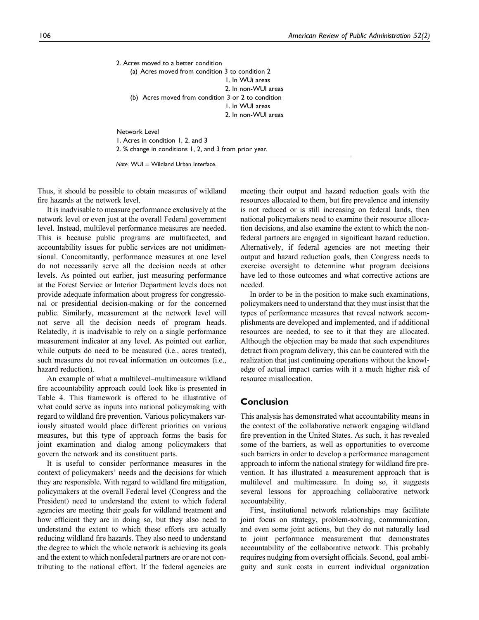| 2. Acres moved to a better condition               |                     |
|----------------------------------------------------|---------------------|
| (a) Acres moved from condition 3 to condition 2    |                     |
|                                                    | L. In WU areas      |
|                                                    | 2. In non-WUI areas |
| (b) Acres moved from condition 3 or 2 to condition |                     |
|                                                    | L. In WUI areas     |
|                                                    | 2. In non-WUI areas |
| Network Level<br>1. Acres in condition 1, 2, and 3 |                     |
|                                                    |                     |

2. % change in conditions 1, 2, and 3 from prior year.

Note. WUI = Wildland Urban Interface.

Thus, it should be possible to obtain measures of wildland fire hazards at the network level.

It is inadvisable to measure performance exclusively at the network level or even just at the overall Federal government level. Instead, multilevel performance measures are needed. This is because public programs are multifaceted, and accountability issues for public services are not unidimensional. Concomitantly, performance measures at one level do not necessarily serve all the decision needs at other levels. As pointed out earlier, just measuring performance at the Forest Service or Interior Department levels does not provide adequate information about progress for congressional or presidential decision-making or for the concerned public. Similarly, measurement at the network level will not serve all the decision needs of program heads. Relatedly, it is inadvisable to rely on a single performance measurement indicator at any level. As pointed out earlier, while outputs do need to be measured (i.e., acres treated), such measures do not reveal information on outcomes (i.e., hazard reduction).

An example of what a multilevel–multimeasure wildland fire accountability approach could look like is presented in Table 4. This framework is offered to be illustrative of what could serve as inputs into national policymaking with regard to wildland fire prevention. Various policymakers variously situated would place different priorities on various measures, but this type of approach forms the basis for joint examination and dialog among policymakers that govern the network and its constituent parts.

It is useful to consider performance measures in the context of policymakers' needs and the decisions for which they are responsible. With regard to wildland fire mitigation, policymakers at the overall Federal level (Congress and the President) need to understand the extent to which federal agencies are meeting their goals for wildland treatment and how efficient they are in doing so, but they also need to understand the extent to which these efforts are actually reducing wildland fire hazards. They also need to understand the degree to which the whole network is achieving its goals and the extent to which nonfederal partners are or are not contributing to the national effort. If the federal agencies are

meeting their output and hazard reduction goals with the resources allocated to them, but fire prevalence and intensity is not reduced or is still increasing on federal lands, then national policymakers need to examine their resource allocation decisions, and also examine the extent to which the nonfederal partners are engaged in significant hazard reduction. Alternatively, if federal agencies are not meeting their output and hazard reduction goals, then Congress needs to exercise oversight to determine what program decisions have led to those outcomes and what corrective actions are needed.

In order to be in the position to make such examinations, policymakers need to understand that they must insist that the types of performance measures that reveal network accomplishments are developed and implemented, and if additional resources are needed, to see to it that they are allocated. Although the objection may be made that such expenditures detract from program delivery, this can be countered with the realization that just continuing operations without the knowledge of actual impact carries with it a much higher risk of resource misallocation.

# Conclusion

This analysis has demonstrated what accountability means in the context of the collaborative network engaging wildland fire prevention in the United States. As such, it has revealed some of the barriers, as well as opportunities to overcome such barriers in order to develop a performance management approach to inform the national strategy for wildland fire prevention. It has illustrated a measurement approach that is multilevel and multimeasure. In doing so, it suggests several lessons for approaching collaborative network accountability.

First, institutional network relationships may facilitate joint focus on strategy, problem-solving, communication, and even some joint actions, but they do not naturally lead to joint performance measurement that demonstrates accountability of the collaborative network. This probably requires nudging from oversight officials. Second, goal ambiguity and sunk costs in current individual organization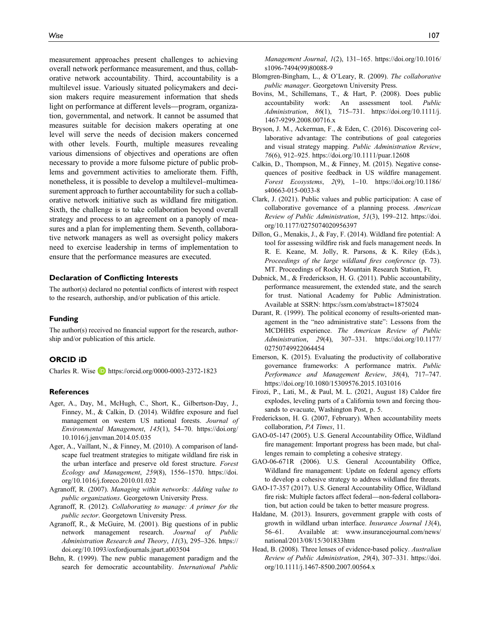measurement approaches present challenges to achieving overall network performance measurement, and thus, collaborative network accountability. Third, accountability is a multilevel issue. Variously situated policymakers and decision makers require measurement information that sheds light on performance at different levels—program, organization, governmental, and network. It cannot be assumed that measures suitable for decision makers operating at one level will serve the needs of decision makers concerned with other levels. Fourth, multiple measures revealing various dimensions of objectives and operations are often necessary to provide a more fulsome picture of public problems and government activities to ameliorate them. Fifth, nonetheless, it is possible to develop a multilevel–multimeasurement approach to further accountability for such a collaborative network initiative such as wildland fire mitigation. Sixth, the challenge is to take collaboration beyond overall strategy and process to an agreement on a panoply of measures and a plan for implementing them. Seventh, collaborative network managers as well as oversight policy makers need to exercise leadership in terms of implementation to ensure that the performance measures are executed.

#### Declaration of Conflicting Interests

The author(s) declared no potential conflicts of interest with respect to the research, authorship, and/or publication of this article.

## Funding

The author(s) received no financial support for the research, authorship and/or publication of this article.

## ORCID iD

Charles R. Wise **<https://orcid.org/0000-0003-2372-1823>** 

#### References

- Ager, A., Day, M., McHugh, C., Short, K., Gilbertson-Day, J., Finney, M., & Calkin, D. (2014). Wildfire exposure and fuel management on western US national forests. Journal of Environmental Management, 145(1), 54–70. [https://doi.org/](https://doi.org/10.1016/j.jenvman.2014.05.035) [10.1016/j.jenvman.2014.05.035](https://doi.org/10.1016/j.jenvman.2014.05.035)
- Ager, A., Vaillant, N., & Finney, M. (2010). A comparison of landscape fuel treatment strategies to mitigate wildland fire risk in the urban interface and preserve old forest structure. Forest Ecology and Management, 259(8), 1556–1570. [https://doi.](https://doi.org/10.1016/j.foreco.2010.01.032) [org/10.1016/j.foreco.2010.01.032](https://doi.org/10.1016/j.foreco.2010.01.032)
- Agranoff, R. (2007). Managing within networks: Adding value to public organizations. Georgetown University Press.
- Agranoff, R. (2012). Collaborating to manage: A primer for the public sector. Georgetown University Press.
- Agranoff, R., & McGuire, M. (2001). Big questions of in public network management research. Journal of Public Administration Research and Theory, 11(3), 295-326. [https://](https://doi.org/10.1093/oxfordjournals.jpart.a003504) [doi.org/10.1093/oxfordjournals.jpart.a003504](https://doi.org/10.1093/oxfordjournals.jpart.a003504)
- Behn, R. (1999). The new public management paradigm and the search for democratic accountability. International Public
- Blomgren-Bingham, L., & O'Leary, R. (2009). The collaborative public manager. Georgetown University Press.
- Bovins, M., Schillemans, T., & Hart, P. (2008). Does public accountability work: An assessment tool. Public Administration, 86(1), 715–731. [https://doi.org/10.1111/j.](https://doi.org/10.1111/j.1467-9299.2008.00716.x) [1467-9299.2008.00716.x](https://doi.org/10.1111/j.1467-9299.2008.00716.x)
- Bryson, J. M., Ackerman, F., & Eden, C. (2016). Discovering collaborative advantage: The contributions of goal categories and visual strategy mapping. Public Administration Review, 76(6), 912–925.<https://doi.org/10.1111/puar.12608>
- Calkin, D., Thompson, M., & Finney, M. (2015). Negative consequences of positive feedback in US wildfire management. Forest Ecosystems,  $2(9)$ , 1–10. [https://doi.org/10.1186/](https://doi.org/10.1186/s40663-015-0033-8) [s40663-015-0033-8](https://doi.org/10.1186/s40663-015-0033-8)
- Clark, J. (2021). Public values and public participation: A case of collaborative governance of a planning process. American Review of Public Administration, 51(3), 199–212. [https://doi.](https://doi.org/10.1177/0275074020956397) [org/10.1177/0275074020956397](https://doi.org/10.1177/0275074020956397)
- Dillon, G., Menakis, J., & Fay, F. (2014). Wildland fire potential: A tool for assessing wildfire risk and fuels management needs. In R. E. Keane, M. Jolly, R. Parsons, & K. Riley (Eds.), Proceedings of the large wildland fires conference (p. 73). MT. Proceedings of Rocky Mountain Research Station, Ft.
- Dubnick, M., & Frederickson, H. G. (2011). Public accountability, performance measurement, the extended state, and the search for trust. National Academy for Public Administration. Available at SSRN: [https://ssrn.com/abstract](https://ssrn.com/abstract=1875024)=1875024
- Durant, R. (1999). The political economy of results-oriented management in the "neo administrative state": Lessons from the MCDHHS experience. The American Review of Public Administration, 29(4), 307–331. [https://doi.org/10.1177/](https://doi.org/10.1177/02750749922064454) [02750749922064454](https://doi.org/10.1177/02750749922064454)
- Emerson, K. (2015). Evaluating the productivity of collaborative governance frameworks: A performance matrix. Public Performance and Management Review, 38(4), 717–747. <https://doi.org/10.1080/15309576.2015.1031016>
- Firozi, P., Lati, M., & Paul, M. L. (2021, August 18) Caldor fire explodes, leveling parts of a California town and forcing thousands to evacuate, Washington Post, p. 5.
- Frederickson, H. G. (2007, February). When accountability meets collaboration, PA Times, 11.
- GAO-05-147 (2005). U.S. General Accountability Office, Wildland fire management: Important progress has been made, but challenges remain to completing a cohesive strategy.
- GAO-06-671R (2006). U.S. General Accountability Office, Wildland fire management: Update on federal agency efforts to develop a cohesive strategy to address wildland fire threats.
- GAO-17-357 (2017). U.S. General Accountability Office, Wildland fire risk: Multiple factors affect federal—non-federal collaboration, but action could be taken to better measure progress.
- Haldane, M. (2013). Insurers, government grapple with costs of growth in wildland urban interface. Insurance Journal 13(4), 56–61. Available at: [www.insurancejournal.com/news/](www.insurancejournal.com/news/national/2013/08/15/301833htm) [national/2013/08/15/301833htm](www.insurancejournal.com/news/national/2013/08/15/301833htm)
- Head, B. (2008). Three lenses of evidence-based policy. Australian Review of Public Administration, 29(4), 307–331. [https://doi.](https://doi.org/10.1111/j.1467-8500.2007.00564.x) [org/10.1111/j.1467-8500.2007.00564.x](https://doi.org/10.1111/j.1467-8500.2007.00564.x)